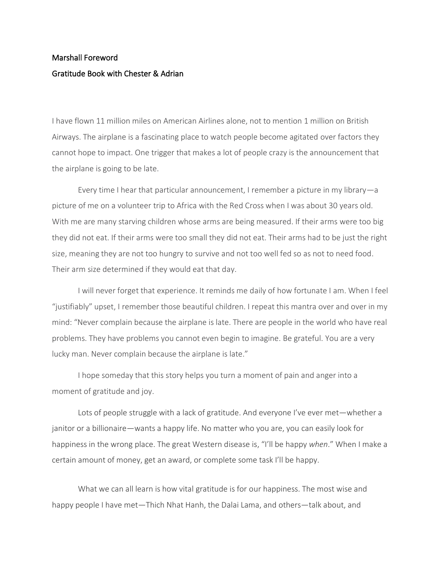## Marshall Foreword Gratitude Book with Chester & Adrian

I have flown 11 million miles on American Airlines alone, not to mention 1 million on British Airways. The airplane is a fascinating place to watch people become agitated over factors they cannot hope to impact. One trigger that makes a lot of people crazy is the announcement that the airplane is going to be late.

Every time I hear that particular announcement, I remember a picture in my library—a picture of me on a volunteer trip to Africa with the Red Cross when I was about 30 years old. With me are many starving children whose arms are being measured. If their arms were too big they did not eat. If their arms were too small they did not eat. Their arms had to be just the right size, meaning they are not too hungry to survive and not too well fed so as not to need food. Their arm size determined if they would eat that day.

I will never forget that experience. It reminds me daily of how fortunate I am. When I feel "justifiably" upset, I remember those beautiful children. I repeat this mantra over and over in my mind: "Never complain because the airplane is late. There are people in the world who have real problems. They have problems you cannot even begin to imagine. Be grateful. You are a very lucky man. Never complain because the airplane is late."

I hope someday that this story helps you turn a moment of pain and anger into a moment of gratitude and joy.

Lots of people struggle with a lack of gratitude. And everyone I've ever met—whether a janitor or a billionaire—wants a happy life. No matter who you are, you can easily look for happiness in the wrong place. The great Western disease is, "I'll be happy *when*." When I make a certain amount of money, get an award, or complete some task I'll be happy.

What we can all learn is how vital gratitude is for our happiness. The most wise and happy people I have met—Thich Nhat Hanh, the Dalai Lama, and others—talk about, and